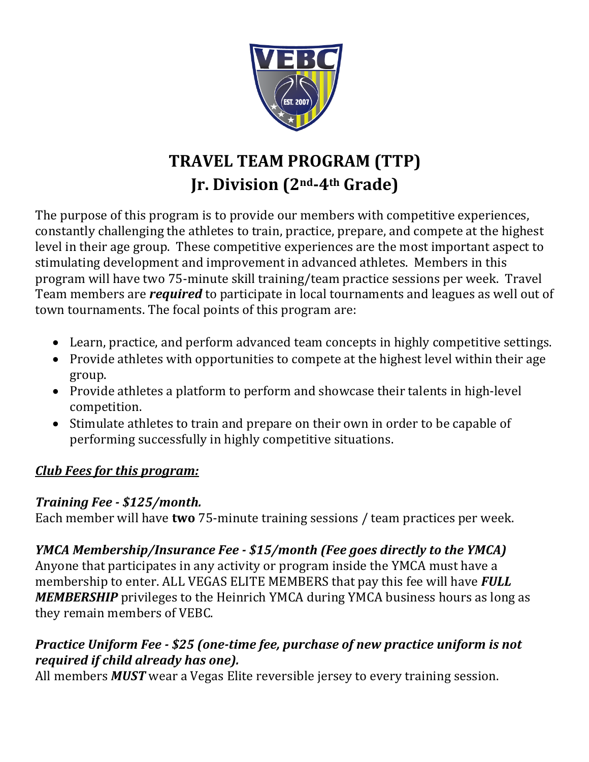

# **TRAVEL TEAM PROGRAM (TTP) Jr. Division (2nd-4th Grade)**

The purpose of this program is to provide our members with competitive experiences, constantly challenging the athletes to train, practice, prepare, and compete at the highest level in their age group. These competitive experiences are the most important aspect to stimulating development and improvement in advanced athletes. Members in this program will have two 75-minute skill training/team practice sessions per week. Travel Team members are *required* to participate in local tournaments and leagues as well out of town tournaments. The focal points of this program are:

- Learn, practice, and perform advanced team concepts in highly competitive settings.
- Provide athletes with opportunities to compete at the highest level within their age group.
- Provide athletes a platform to perform and showcase their talents in high-level competition.
- Stimulate athletes to train and prepare on their own in order to be capable of performing successfully in highly competitive situations.

### *Club* Fees for this program:

### *Training Fee - \$125/month.*

Each member will have **two** 75-minute training sessions / team practices per week.

# *YMCA Membership/Insurance Fee - \$15/month (Fee goes directly to the YMCA)*

Anyone that participates in any activity or program inside the YMCA must have a membership to enter. ALL VEGAS ELITE MEMBERS that pay this fee will have **FULL MEMBERSHIP** privileges to the Heinrich YMCA during YMCA business hours as long as they remain members of VEBC.

# *Practice Uniform Fee - \$25 (one-time fee, purchase of new practice uniform is not required if child already has one).*

All members *MUST* wear a Vegas Elite reversible jersey to every training session.